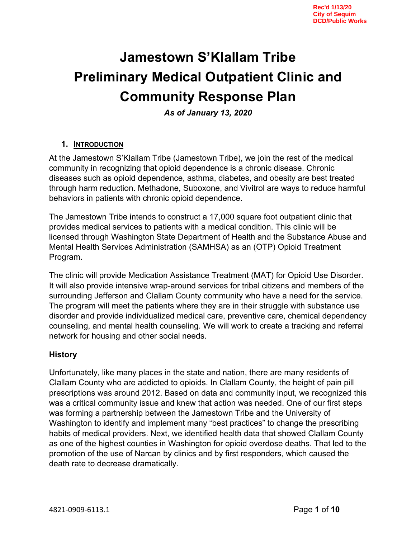# **Jamestown S'Klallam Tribe Preliminary Medical Outpatient Clinic and Community Response Plan**

*As of January 13, 2020* 

### **1. INTRODUCTION**

At the Jamestown S'Klallam Tribe (Jamestown Tribe), we join the rest of the medical community in recognizing that opioid dependence is a chronic disease. Chronic diseases such as opioid dependence, asthma, diabetes, and obesity are best treated through harm reduction. Methadone, Suboxone, and Vivitrol are ways to reduce harmful behaviors in patients with chronic opioid dependence.

The Jamestown Tribe intends to construct a 17,000 square foot outpatient clinic that provides medical services to patients with a medical condition. This clinic will be licensed through Washington State Department of Health and the Substance Abuse and Mental Health Services Administration (SAMHSA) as an (OTP) Opioid Treatment Program.

The clinic will provide Medication Assistance Treatment (MAT) for Opioid Use Disorder. It will also provide intensive wrap-around services for tribal citizens and members of the surrounding Jefferson and Clallam County community who have a need for the service. The program will meet the patients where they are in their struggle with substance use disorder and provide individualized medical care, preventive care, chemical dependency counseling, and mental health counseling. We will work to create a tracking and referral network for housing and other social needs.

## **History**

Unfortunately, like many places in the state and nation, there are many residents of Clallam County who are addicted to opioids. In Clallam County, the height of pain pill prescriptions was around 2012. Based on data and community input, we recognized this was a critical community issue and knew that action was needed. One of our first steps was forming a partnership between the Jamestown Tribe and the University of Washington to identify and implement many "best practices" to change the prescribing habits of medical providers. Next, we identified health data that showed Clallam County as one of the highest counties in Washington for opioid overdose deaths. That led to the promotion of the use of Narcan by clinics and by first responders, which caused the death rate to decrease dramatically.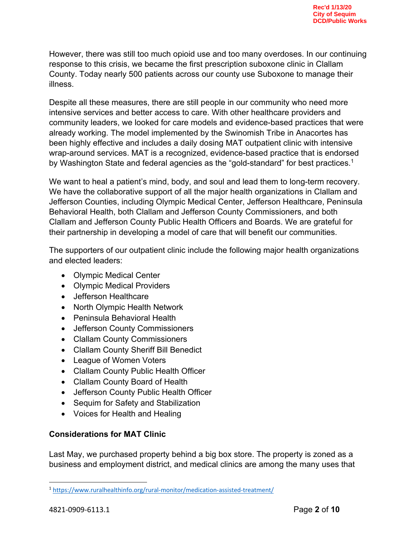However, there was still too much opioid use and too many overdoses. In our continuing response to this crisis, we became the first prescription suboxone clinic in Clallam County. Today nearly 500 patients across our county use Suboxone to manage their illness.

Despite all these measures, there are still people in our community who need more intensive services and better access to care. With other healthcare providers and community leaders, we looked for care models and evidence-based practices that were already working. The model implemented by the Swinomish Tribe in Anacortes has been highly effective and includes a daily dosing MAT outpatient clinic with intensive wrap-around services. MAT is a recognized, evidence-based practice that is endorsed by Washington State and federal agencies as the "gold-standard" for best practices.<sup>1</sup>

We want to heal a patient's mind, body, and soul and lead them to long-term recovery. We have the collaborative support of all the major health organizations in Clallam and Jefferson Counties, including Olympic Medical Center, Jefferson Healthcare, Peninsula Behavioral Health, both Clallam and Jefferson County Commissioners, and both Clallam and Jefferson County Public Health Officers and Boards. We are grateful for their partnership in developing a model of care that will benefit our communities.

The supporters of our outpatient clinic include the following major health organizations and elected leaders:

- Olympic Medical Center
- Olympic Medical Providers
- Jefferson Healthcare
- North Olympic Health Network
- Peninsula Behavioral Health
- Jefferson County Commissioners
- Clallam County Commissioners
- Clallam County Sheriff Bill Benedict
- League of Women Voters
- Clallam County Public Health Officer
- Clallam County Board of Health
- Jefferson County Public Health Officer
- Sequim for Safety and Stabilization
- Voices for Health and Healing

#### **Considerations for MAT Clinic**

Last May, we purchased property behind a big box store. The property is zoned as a business and employment district, and medical clinics are among the many uses that

<sup>1</sup> https://www.ruralhealthinfo.org/rural-monitor/medication-assisted-treatment/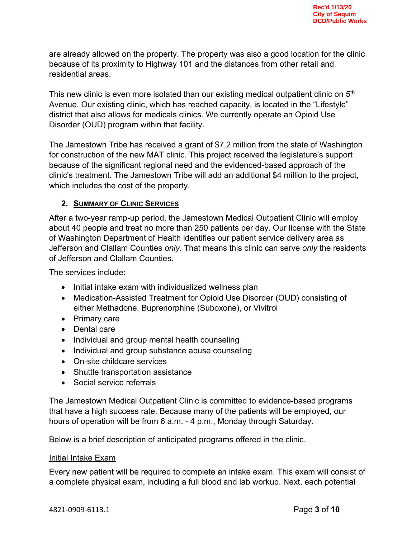are already allowed on the property. The property was also a good location for the clinic because of its proximity to Highway 101 and the distances from other retail and residential areas.

This new clinic is even more isolated than our existing medical outpatient clinic on 5<sup>th</sup> Avenue. Our existing clinic, which has reached capacity, is located in the "Lifestyle" district that also allows for medicals clinics. We currently operate an Opioid Use Disorder (OUD) program within that facility.

The Jamestown Tribe has received a grant of \$7.2 million from the state of Washington for construction of the new MAT clinic. This project received the legislature's support because of the significant regional need and the evidenced-based approach of the clinic's treatment. The Jamestown Tribe will add an additional \$4 million to the project, which includes the cost of the property.

## **2. SUMMARY OF CLINIC SERVICES**

After a two-year ramp-up period, the Jamestown Medical Outpatient Clinic will employ about 40 people and treat no more than 250 patients per day. Our license with the State of Washington Department of Health identifies our patient service delivery area as Jefferson and Clallam Counties *only*. That means this clinic can serve *only* the residents of Jefferson and Clallam Counties.

The services include:

- Initial intake exam with individualized wellness plan
- Medication-Assisted Treatment for Opioid Use Disorder (OUD) consisting of either Methadone, Buprenorphine (Suboxone), or Vivitrol
- Primary care
- Dental care
- Individual and group mental health counseling
- Individual and group substance abuse counseling
- On-site childcare services
- Shuttle transportation assistance
- Social service referrals

The Jamestown Medical Outpatient Clinic is committed to evidence-based programs that have a high success rate. Because many of the patients will be employed, our hours of operation will be from 6 a.m. - 4 p.m., Monday through Saturday.

Below is a brief description of anticipated programs offered in the clinic.

#### Initial Intake Exam

Every new patient will be required to complete an intake exam. This exam will consist of a complete physical exam, including a full blood and lab workup. Next, each potential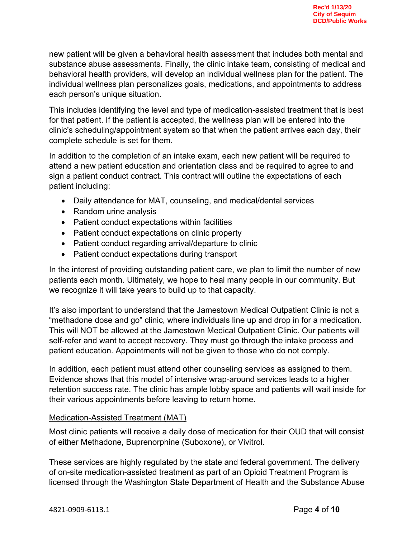new patient will be given a behavioral health assessment that includes both mental and substance abuse assessments. Finally, the clinic intake team, consisting of medical and behavioral health providers, will develop an individual wellness plan for the patient. The individual wellness plan personalizes goals, medications, and appointments to address each person's unique situation.

This includes identifying the level and type of medication-assisted treatment that is best for that patient. If the patient is accepted, the wellness plan will be entered into the clinic's scheduling/appointment system so that when the patient arrives each day, their complete schedule is set for them.

In addition to the completion of an intake exam, each new patient will be required to attend a new patient education and orientation class and be required to agree to and sign a patient conduct contract. This contract will outline the expectations of each patient including:

- Daily attendance for MAT, counseling, and medical/dental services
- Random urine analysis
- Patient conduct expectations within facilities
- Patient conduct expectations on clinic property
- Patient conduct regarding arrival/departure to clinic
- Patient conduct expectations during transport

In the interest of providing outstanding patient care, we plan to limit the number of new patients each month. Ultimately, we hope to heal many people in our community. But we recognize it will take years to build up to that capacity.

It's also important to understand that the Jamestown Medical Outpatient Clinic is not a "methadone dose and go" clinic, where individuals line up and drop in for a medication. This will NOT be allowed at the Jamestown Medical Outpatient Clinic. Our patients will self-refer and want to accept recovery. They must go through the intake process and patient education. Appointments will not be given to those who do not comply.

In addition, each patient must attend other counseling services as assigned to them. Evidence shows that this model of intensive wrap-around services leads to a higher retention success rate. The clinic has ample lobby space and patients will wait inside for their various appointments before leaving to return home.

#### Medication-Assisted Treatment (MAT)

Most clinic patients will receive a daily dose of medication for their OUD that will consist of either Methadone, Buprenorphine (Suboxone), or Vivitrol.

These services are highly regulated by the state and federal government. The delivery of on-site medication-assisted treatment as part of an Opioid Treatment Program is licensed through the Washington State Department of Health and the Substance Abuse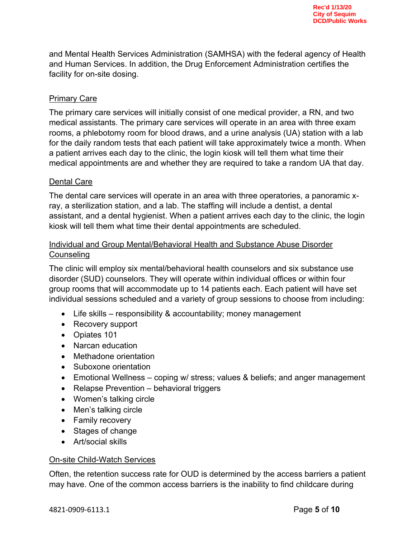and Mental Health Services Administration (SAMHSA) with the federal agency of Health and Human Services. In addition, the Drug Enforcement Administration certifies the facility for on-site dosing.

### Primary Care

The primary care services will initially consist of one medical provider, a RN, and two medical assistants. The primary care services will operate in an area with three exam rooms, a phlebotomy room for blood draws, and a urine analysis (UA) station with a lab for the daily random tests that each patient will take approximately twice a month. When a patient arrives each day to the clinic, the login kiosk will tell them what time their medical appointments are and whether they are required to take a random UA that day.

#### Dental Care

The dental care services will operate in an area with three operatories, a panoramic xray, a sterilization station, and a lab. The staffing will include a dentist, a dental assistant, and a dental hygienist. When a patient arrives each day to the clinic, the login kiosk will tell them what time their dental appointments are scheduled.

## Individual and Group Mental/Behavioral Health and Substance Abuse Disorder **Counseling**

The clinic will employ six mental/behavioral health counselors and six substance use disorder (SUD) counselors. They will operate within individual offices or within four group rooms that will accommodate up to 14 patients each. Each patient will have set individual sessions scheduled and a variety of group sessions to choose from including:

- Life skills responsibility & accountability; money management
- Recovery support
- Opiates 101
- Narcan education
- Methadone orientation
- Suboxone orientation
- Emotional Wellness coping w/ stress; values & beliefs; and anger management
- Relapse Prevention behavioral triggers
- Women's talking circle
- Men's talking circle
- Family recovery
- Stages of change
- Art/social skills

#### On-site Child-Watch Services

Often, the retention success rate for OUD is determined by the access barriers a patient may have. One of the common access barriers is the inability to find childcare during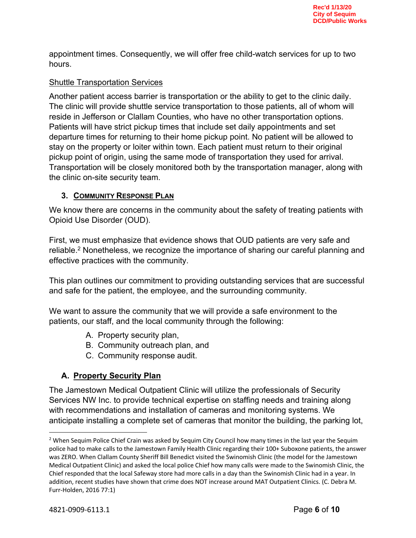appointment times. Consequently, we will offer free child-watch services for up to two hours.

## Shuttle Transportation Services

Another patient access barrier is transportation or the ability to get to the clinic daily. The clinic will provide shuttle service transportation to those patients, all of whom will reside in Jefferson or Clallam Counties, who have no other transportation options. Patients will have strict pickup times that include set daily appointments and set departure times for returning to their home pickup point. No patient will be allowed to stay on the property or loiter within town. Each patient must return to their original pickup point of origin, using the same mode of transportation they used for arrival. Transportation will be closely monitored both by the transportation manager, along with the clinic on-site security team.

## **3. COMMUNITY RESPONSE PLAN**

We know there are concerns in the community about the safety of treating patients with Opioid Use Disorder (OUD).

First, we must emphasize that evidence shows that OUD patients are very safe and reliable.<sup>2</sup> Nonetheless, we recognize the importance of sharing our careful planning and effective practices with the community.

This plan outlines our commitment to providing outstanding services that are successful and safe for the patient, the employee, and the surrounding community.

We want to assure the community that we will provide a safe environment to the patients, our staff, and the local community through the following:

- A. Property security plan,
- B. Community outreach plan, and
- C. Community response audit.

## **A. Property Security Plan**

The Jamestown Medical Outpatient Clinic will utilize the professionals of Security Services NW Inc. to provide technical expertise on staffing needs and training along with recommendations and installation of cameras and monitoring systems. We anticipate installing a complete set of cameras that monitor the building, the parking lot,

<sup>&</sup>lt;sup>2</sup> When Sequim Police Chief Crain was asked by Sequim City Council how many times in the last year the Sequim police had to make calls to the Jamestown Family Health Clinic regarding their 100+ Suboxone patients, the answer was ZERO. When Clallam County Sheriff Bill Benedict visited the Swinomish Clinic (the model for the Jamestown Medical Outpatient Clinic) and asked the local police Chief how many calls were made to the Swinomish Clinic, the Chief responded that the local Safeway store had more calls in a day than the Swinomish Clinic had in a year. In addition, recent studies have shown that crime does NOT increase around MAT Outpatient Clinics. (C. Debra M. Furr-Holden, 2016 77:1)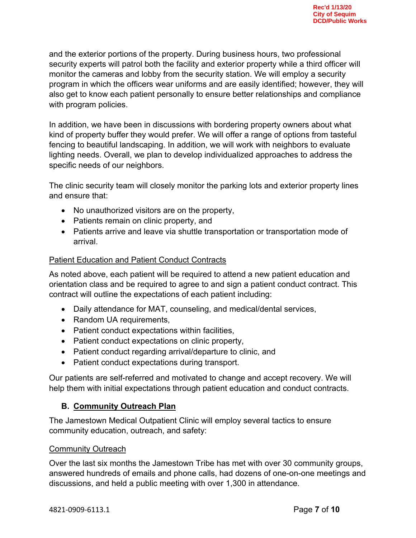and the exterior portions of the property. During business hours, two professional security experts will patrol both the facility and exterior property while a third officer will monitor the cameras and lobby from the security station. We will employ a security program in which the officers wear uniforms and are easily identified; however, they will also get to know each patient personally to ensure better relationships and compliance with program policies.

In addition, we have been in discussions with bordering property owners about what kind of property buffer they would prefer. We will offer a range of options from tasteful fencing to beautiful landscaping. In addition, we will work with neighbors to evaluate lighting needs. Overall, we plan to develop individualized approaches to address the specific needs of our neighbors.

The clinic security team will closely monitor the parking lots and exterior property lines and ensure that:

- No unauthorized visitors are on the property,
- Patients remain on clinic property, and
- Patients arrive and leave via shuttle transportation or transportation mode of arrival.

## Patient Education and Patient Conduct Contracts

As noted above, each patient will be required to attend a new patient education and orientation class and be required to agree to and sign a patient conduct contract. This contract will outline the expectations of each patient including:

- Daily attendance for MAT, counseling, and medical/dental services,
- Random UA requirements,
- Patient conduct expectations within facilities,
- Patient conduct expectations on clinic property,
- Patient conduct regarding arrival/departure to clinic, and
- Patient conduct expectations during transport.

Our patients are self-referred and motivated to change and accept recovery. We will help them with initial expectations through patient education and conduct contracts.

# **B. Community Outreach Plan**

The Jamestown Medical Outpatient Clinic will employ several tactics to ensure community education, outreach, and safety:

#### Community Outreach

Over the last six months the Jamestown Tribe has met with over 30 community groups, answered hundreds of emails and phone calls, had dozens of one-on-one meetings and discussions, and held a public meeting with over 1,300 in attendance.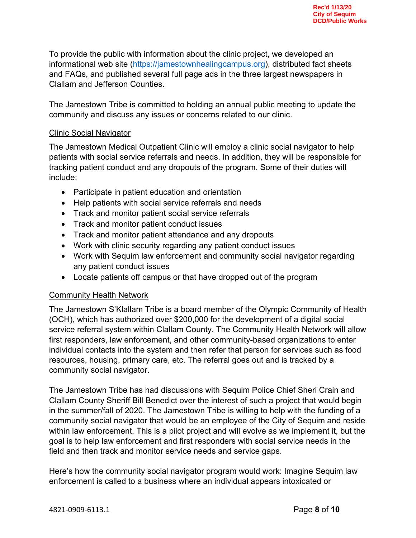To provide the public with information about the clinic project, we developed an informational web site (https://jamestownhealingcampus.org), distributed fact sheets and FAQs, and published several full page ads in the three largest newspapers in Clallam and Jefferson Counties.

The Jamestown Tribe is committed to holding an annual public meeting to update the community and discuss any issues or concerns related to our clinic.

#### Clinic Social Navigator

The Jamestown Medical Outpatient Clinic will employ a clinic social navigator to help patients with social service referrals and needs. In addition, they will be responsible for tracking patient conduct and any dropouts of the program. Some of their duties will include:

- Participate in patient education and orientation
- Help patients with social service referrals and needs
- Track and monitor patient social service referrals
- Track and monitor patient conduct issues
- Track and monitor patient attendance and any dropouts
- Work with clinic security regarding any patient conduct issues
- Work with Sequim law enforcement and community social navigator regarding any patient conduct issues
- Locate patients off campus or that have dropped out of the program

#### Community Health Network

The Jamestown S'Klallam Tribe is a board member of the Olympic Community of Health (OCH), which has authorized over \$200,000 for the development of a digital social service referral system within Clallam County. The Community Health Network will allow first responders, law enforcement, and other community-based organizations to enter individual contacts into the system and then refer that person for services such as food resources, housing, primary care, etc. The referral goes out and is tracked by a community social navigator.

The Jamestown Tribe has had discussions with Sequim Police Chief Sheri Crain and Clallam County Sheriff Bill Benedict over the interest of such a project that would begin in the summer/fall of 2020. The Jamestown Tribe is willing to help with the funding of a community social navigator that would be an employee of the City of Sequim and reside within law enforcement. This is a pilot project and will evolve as we implement it, but the goal is to help law enforcement and first responders with social service needs in the field and then track and monitor service needs and service gaps.

Here's how the community social navigator program would work: Imagine Sequim law enforcement is called to a business where an individual appears intoxicated or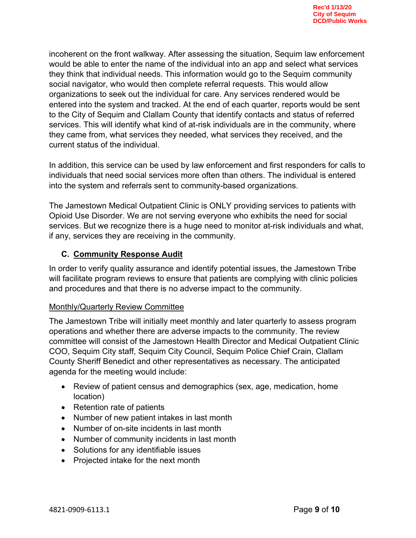incoherent on the front walkway. After assessing the situation, Sequim law enforcement would be able to enter the name of the individual into an app and select what services they think that individual needs. This information would go to the Sequim community social navigator, who would then complete referral requests. This would allow organizations to seek out the individual for care. Any services rendered would be entered into the system and tracked. At the end of each quarter, reports would be sent to the City of Sequim and Clallam County that identify contacts and status of referred services. This will identify what kind of at-risk individuals are in the community, where they came from, what services they needed, what services they received, and the current status of the individual.

In addition, this service can be used by law enforcement and first responders for calls to individuals that need social services more often than others. The individual is entered into the system and referrals sent to community-based organizations.

The Jamestown Medical Outpatient Clinic is ONLY providing services to patients with Opioid Use Disorder. We are not serving everyone who exhibits the need for social services. But we recognize there is a huge need to monitor at-risk individuals and what, if any, services they are receiving in the community.

## **C. Community Response Audit**

In order to verify quality assurance and identify potential issues, the Jamestown Tribe will facilitate program reviews to ensure that patients are complying with clinic policies and procedures and that there is no adverse impact to the community.

#### Monthly/Quarterly Review Committee

The Jamestown Tribe will initially meet monthly and later quarterly to assess program operations and whether there are adverse impacts to the community. The review committee will consist of the Jamestown Health Director and Medical Outpatient Clinic COO, Sequim City staff, Sequim City Council, Sequim Police Chief Crain, Clallam County Sheriff Benedict and other representatives as necessary. The anticipated agenda for the meeting would include:

- Review of patient census and demographics (sex, age, medication, home location)
- Retention rate of patients
- Number of new patient intakes in last month
- Number of on-site incidents in last month
- Number of community incidents in last month
- Solutions for any identifiable issues
- Projected intake for the next month